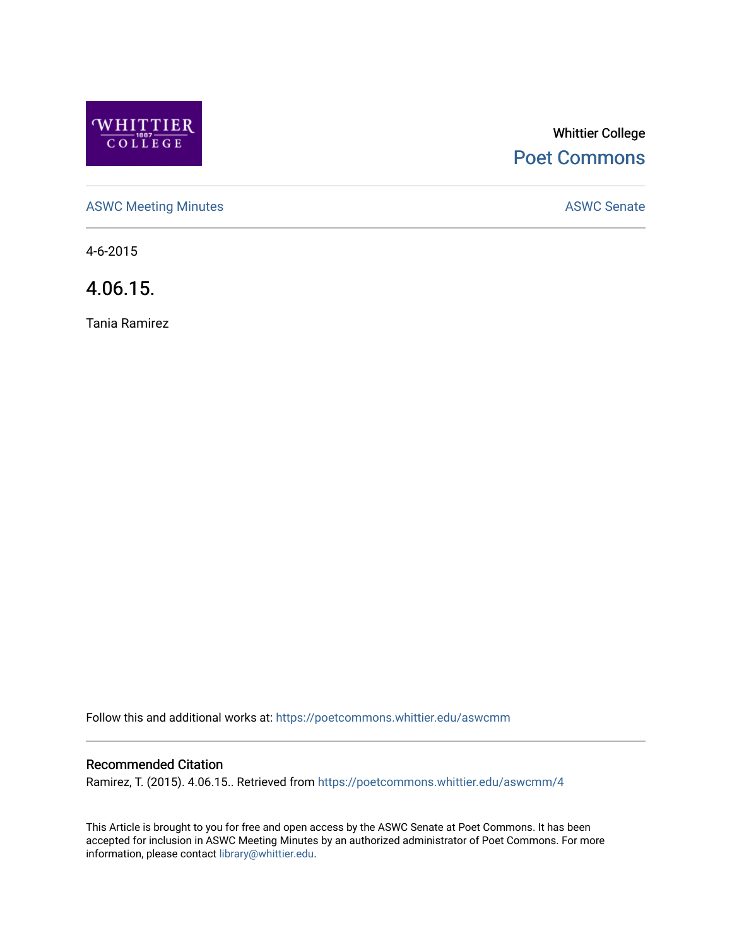

# Whittier College [Poet Commons](https://poetcommons.whittier.edu/)

[ASWC Meeting Minutes](https://poetcommons.whittier.edu/aswcmm) **ASWC Senate** 

4-6-2015

4.06.15.

Tania Ramirez

Follow this and additional works at: [https://poetcommons.whittier.edu/aswcmm](https://poetcommons.whittier.edu/aswcmm?utm_source=poetcommons.whittier.edu%2Faswcmm%2F4&utm_medium=PDF&utm_campaign=PDFCoverPages)

## Recommended Citation

Ramirez, T. (2015). 4.06.15.. Retrieved from [https://poetcommons.whittier.edu/aswcmm/4](https://poetcommons.whittier.edu/aswcmm/4?utm_source=poetcommons.whittier.edu%2Faswcmm%2F4&utm_medium=PDF&utm_campaign=PDFCoverPages) 

This Article is brought to you for free and open access by the ASWC Senate at Poet Commons. It has been accepted for inclusion in ASWC Meeting Minutes by an authorized administrator of Poet Commons. For more information, please contact [library@whittier.edu.](mailto:library@whittier.edu)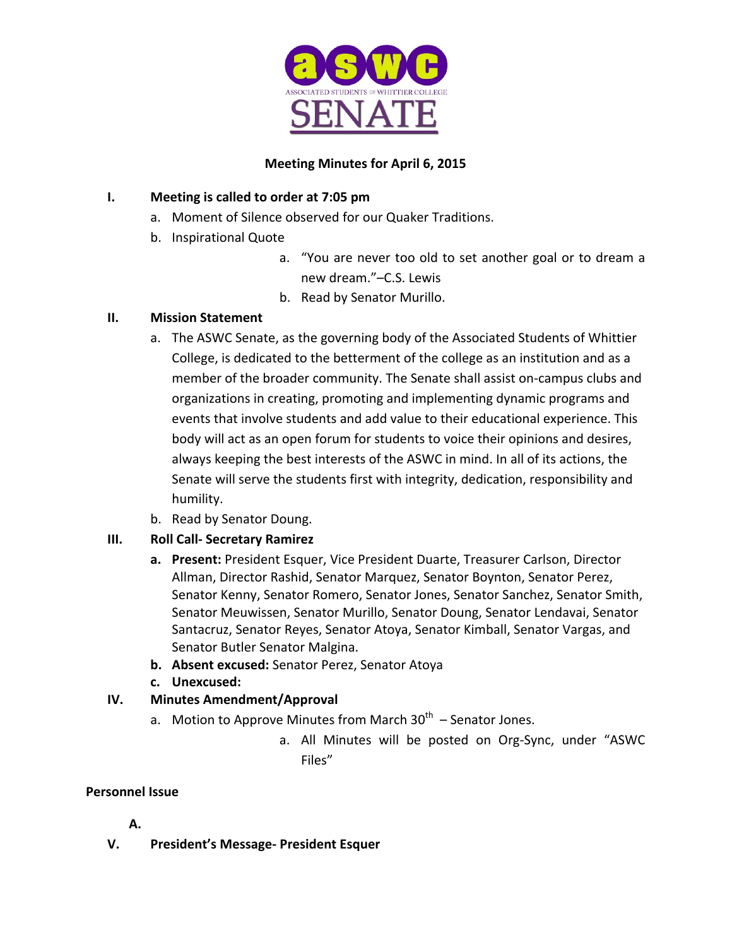

## **Meeting Minutes for April 6, 2015**

## **I.** Meeting is called to order at 7:05 pm

- a. Moment of Silence observed for our Quaker Traditions.
- b. Inspirational Quote
	- a. "You are never too old to set another goal or to dream a new dream."–C.S. Lewis
	- b. Read by Senator Murillo.

## **II. Mission Statement**

- a. The ASWC Senate, as the governing body of the Associated Students of Whittier College, is dedicated to the betterment of the college as an institution and as a member of the broader community. The Senate shall assist on-campus clubs and organizations in creating, promoting and implementing dynamic programs and events that involve students and add value to their educational experience. This body will act as an open forum for students to voice their opinions and desires, always keeping the best interests of the ASWC in mind. In all of its actions, the Senate will serve the students first with integrity, dedication, responsibility and humility.
- b. Read by Senator Doung.

# **III. Roll Call- Secretary Ramirez**

- **a.** Present: President Esquer, Vice President Duarte, Treasurer Carlson, Director Allman, Director Rashid, Senator Marquez, Senator Boynton, Senator Perez, Senator Kenny, Senator Romero, Senator Jones, Senator Sanchez, Senator Smith, Senator Meuwissen, Senator Murillo, Senator Doung, Senator Lendavai, Senator Santacruz, Senator Reyes, Senator Atoya, Senator Kimball, Senator Vargas, and Senator Butler Senator Malgina.
- **b.** Absent excused: Senator Perez, Senator Atoya
- **c. Unexcused:**

# **IV. Minutes Amendment/Approval**

- a. Motion to Approve Minutes from March  $30<sup>th</sup>$  Senator Jones.
	- a. All Minutes will be posted on Org-Sync, under "ASWC Files"

## **Personnel Issue**

# **A.**

**V.** President's Message- President Esquer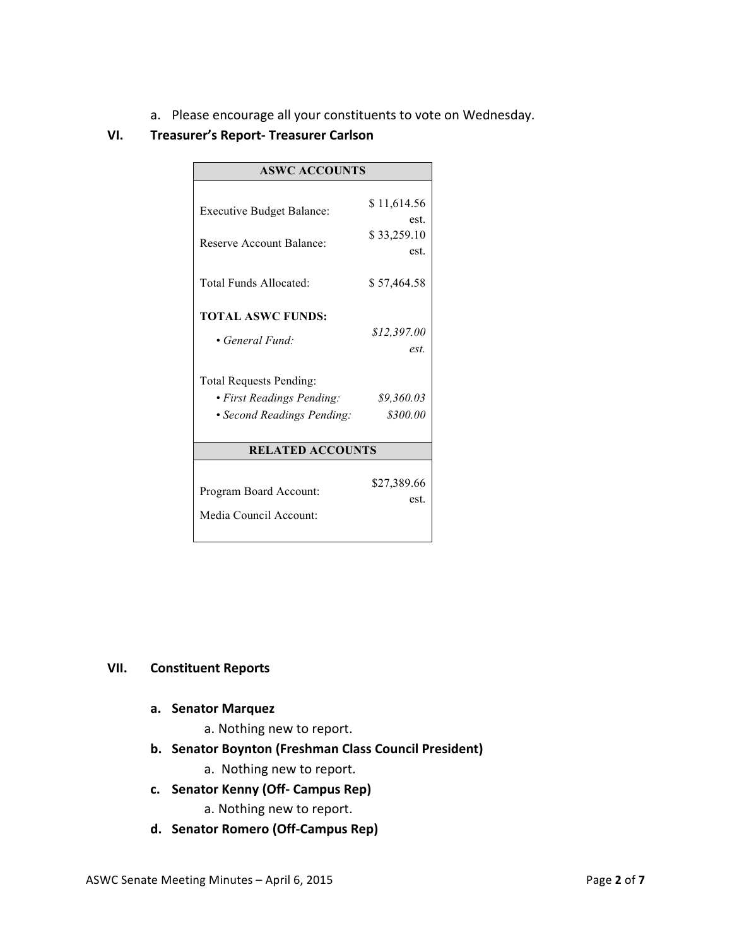a. Please encourage all your constituents to vote on Wednesday.

## **VI. Treasurer's Report- Treasurer Carlson**

| <b>ASWC ACCOUNTS</b>                                                                                                                     |                                               |
|------------------------------------------------------------------------------------------------------------------------------------------|-----------------------------------------------|
| <b>Executive Budget Balance:</b><br>Reserve Account Balance:                                                                             | \$11,614.56<br>est.<br>\$33,259.10<br>est.    |
| Total Funds Allocated:                                                                                                                   | \$57,464.58                                   |
| <b>TOTAL ASWC FUNDS:</b><br>• General Fund:<br><b>Total Requests Pending:</b><br>• First Readings Pending:<br>• Second Readings Pending: | \$12,397.00<br>est.<br>\$9,360.03<br>\$300.00 |
| <b>RELATED ACCOUNTS</b>                                                                                                                  |                                               |
| Program Board Account:<br>Media Council Account:                                                                                         | \$27,389.66<br>est.                           |

#### **VII. Constituent Reports**

#### **a. Senator Marquez**

- a. Nothing new to report.
- **b. Senator Boynton (Freshman Class Council President)**
	- a. Nothing new to report.
- **c. Senator Kenny (Off- Campus Rep)**
	- a. Nothing new to report.
- **d. Senator Romero (Off-Campus Rep)**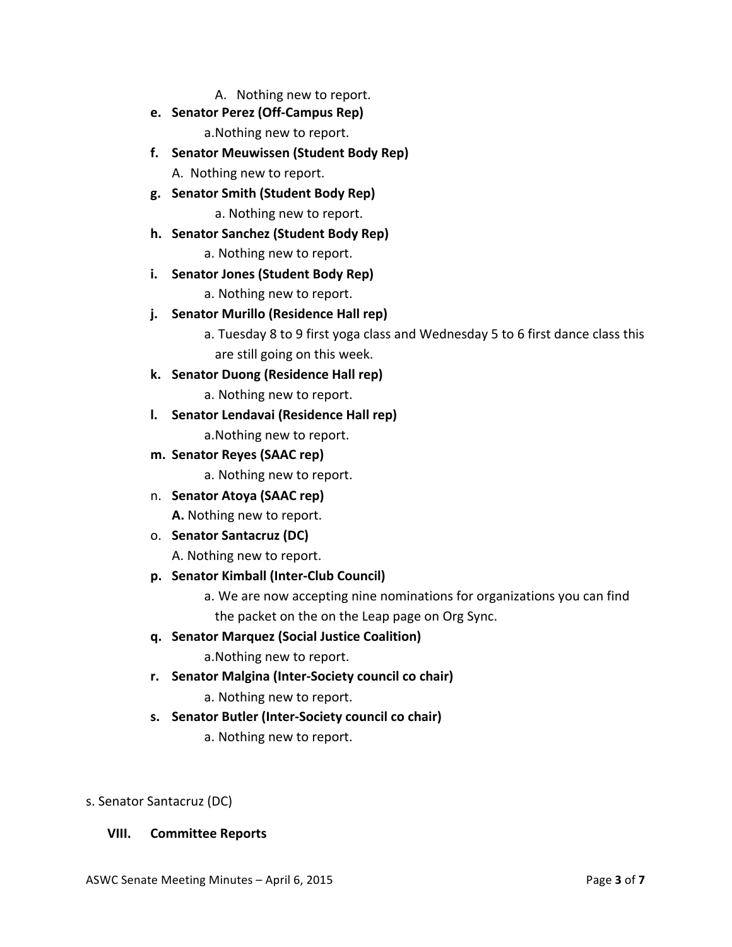A. Nothing new to report.

**e. Senator Perez (Off-Campus Rep)**

a. Nothing new to report.

**f. Senator Meuwissen (Student Body Rep)**

A. Nothing new to report.

**g. Senator Smith (Student Body Rep)**

a. Nothing new to report.

**h. Senator Sanchez (Student Body Rep)**

a. Nothing new to report.

**i.** Senator Jones (Student Body Rep)

a. Nothing new to report.

- **j.** Senator Murillo (Residence Hall rep)
	- a. Tuesday 8 to 9 first yoga class and Wednesday 5 to 6 first dance class this are still going on this week.
- **k. Senator Duong (Residence Hall rep)**

a. Nothing new to report.

- **l.** Senator Lendavai (Residence Hall rep) a. Nothing new to report.
- **m. Senator Reyes (SAAC rep)**

a. Nothing new to report.

- n. **Senator Atoya (SAAC rep) A.** Nothing new to report.
- o. **Senator Santacruz (DC)**

A. Nothing new to report.

- **p. Senator Kimball (Inter-Club Council)**
	- a. We are now accepting nine nominations for organizations you can find the packet on the on the Leap page on Org Sync.
- **q. Senator Marquez (Social Justice Coalition)**

a. Nothing new to report.

- **r. Senator Malgina (Inter-Society council co chair)**
	- a. Nothing new to report.
- **s.** Senator Butler (Inter-Society council co chair)
	- a. Nothing new to report.

## s. Senator Santacruz (DC)

## **VIII. Committee Reports**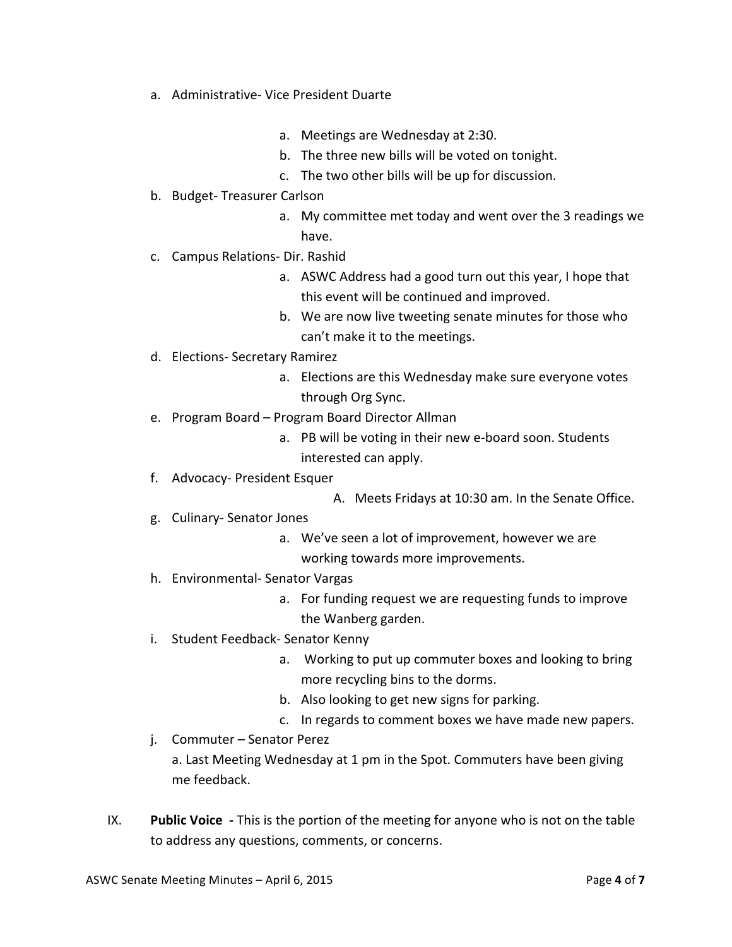- a. Administrative- Vice President Duarte
	- a. Meetings are Wednesday at 2:30.
	- b. The three new bills will be voted on tonight.
	- c. The two other bills will be up for discussion.
- b. Budget-Treasurer Carlson
	- a. My committee met today and went over the 3 readings we have.
- c. Campus Relations- Dir. Rashid
	- a. ASWC Address had a good turn out this year, I hope that this event will be continued and improved.
	- b. We are now live tweeting senate minutes for those who can't make it to the meetings.
- d. Elections- Secretary Ramirez
	- a. Elections are this Wednesday make sure everyone votes through Org Sync.
- e. Program Board Program Board Director Allman
	- a. PB will be voting in their new e-board soon. Students interested can apply.
- f. Advocacy- President Esquer
	- A. Meets Fridays at 10:30 am. In the Senate Office.
- g. Culinary-Senator Jones
	- a. We've seen a lot of improvement, however we are working towards more improvements.
- h. Environmental- Senator Vargas
	- a. For funding request we are requesting funds to improve the Wanberg garden.
- i. Student Feedback- Senator Kenny
	- a. Working to put up commuter boxes and looking to bring more recycling bins to the dorms.
	- b. Also looking to get new signs for parking.
	- c. In regards to comment boxes we have made new papers.
- j. Commuter Senator Perez

a. Last Meeting Wednesday at 1 pm in the Spot. Commuters have been giving me feedback.

IX. **Public Voice** - This is the portion of the meeting for anyone who is not on the table to address any questions, comments, or concerns.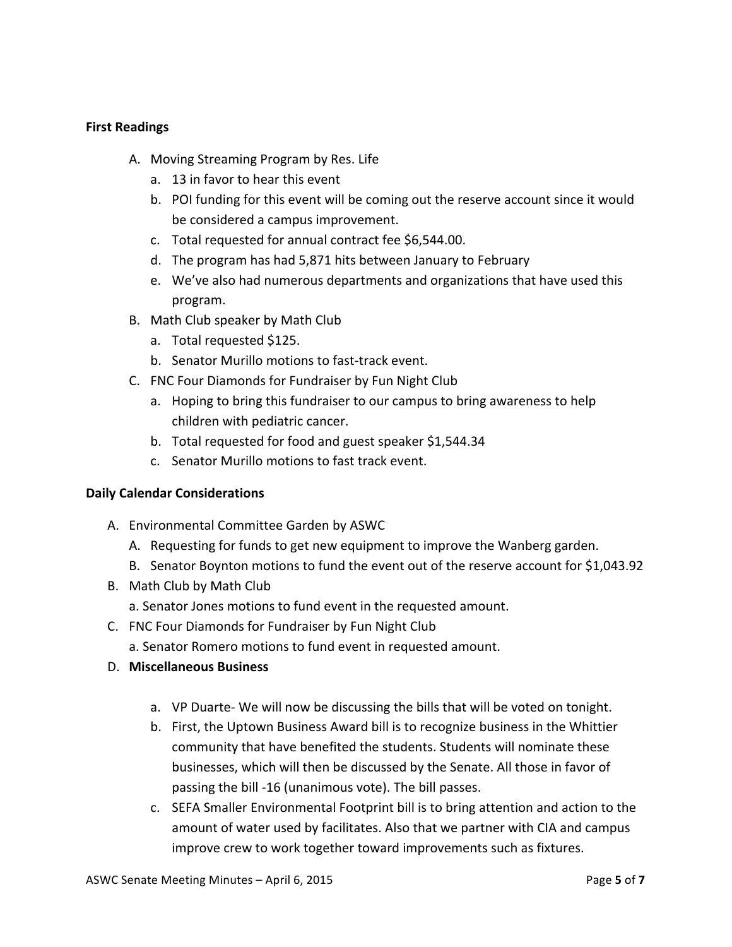## **First Readings**

- A. Moving Streaming Program by Res. Life
	- a. 13 in favor to hear this event
	- b. POI funding for this event will be coming out the reserve account since it would be considered a campus improvement.
	- c. Total requested for annual contract fee \$6,544.00.
	- d. The program has had 5,871 hits between January to February
	- e. We've also had numerous departments and organizations that have used this program.
- B. Math Club speaker by Math Club
	- a. Total requested \$125.
	- b. Senator Murillo motions to fast-track event.
- C. FNC Four Diamonds for Fundraiser by Fun Night Club
	- a. Hoping to bring this fundraiser to our campus to bring awareness to help children with pediatric cancer.
	- b. Total requested for food and guest speaker \$1,544.34
	- c. Senator Murillo motions to fast track event.

## **Daily Calendar Considerations**

- A. Environmental Committee Garden by ASWC
	- A. Requesting for funds to get new equipment to improve the Wanberg garden.
	- B. Senator Boynton motions to fund the event out of the reserve account for \$1,043.92
- B. Math Club by Math Club
	- a. Senator Jones motions to fund event in the requested amount.
- C. FNC Four Diamonds for Fundraiser by Fun Night Club
	- a. Senator Romero motions to fund event in requested amount.
- D. **Miscellaneous Business** 
	- a. VP Duarte- We will now be discussing the bills that will be voted on tonight.
	- b. First, the Uptown Business Award bill is to recognize business in the Whittier community that have benefited the students. Students will nominate these businesses, which will then be discussed by the Senate. All those in favor of passing the bill -16 (unanimous vote). The bill passes.
	- c. SEFA Smaller Environmental Footprint bill is to bring attention and action to the amount of water used by facilitates. Also that we partner with CIA and campus improve crew to work together toward improvements such as fixtures.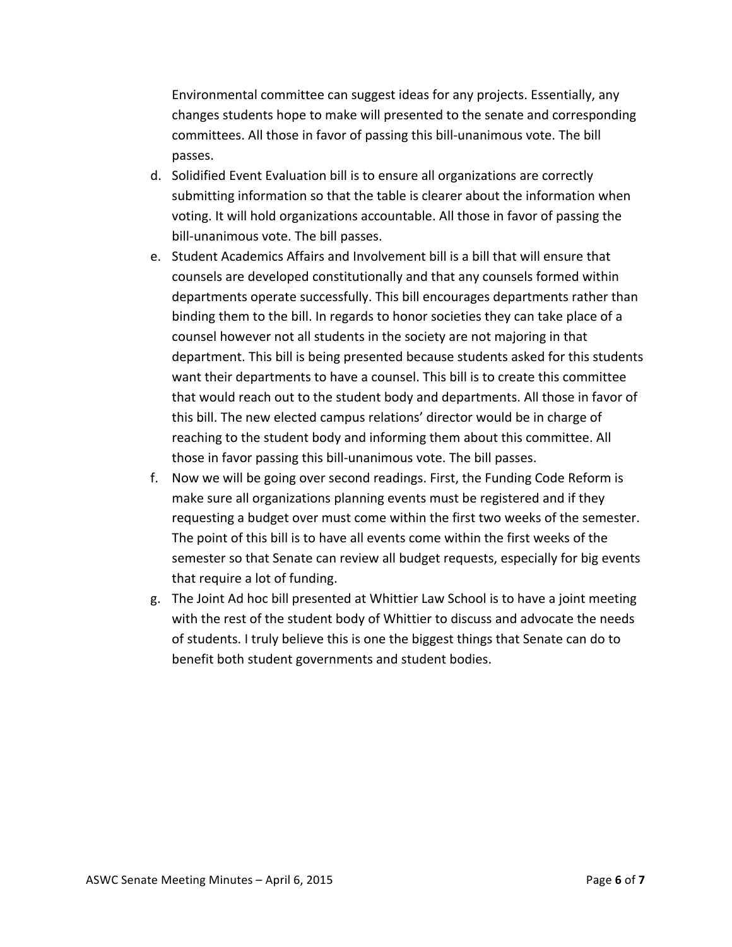Environmental committee can suggest ideas for any projects. Essentially, any changes students hope to make will presented to the senate and corresponding committees. All those in favor of passing this bill-unanimous vote. The bill passes.

- d. Solidified Event Evaluation bill is to ensure all organizations are correctly submitting information so that the table is clearer about the information when voting. It will hold organizations accountable. All those in favor of passing the bill-unanimous vote. The bill passes.
- e. Student Academics Affairs and Involvement bill is a bill that will ensure that counsels are developed constitutionally and that any counsels formed within departments operate successfully. This bill encourages departments rather than binding them to the bill. In regards to honor societies they can take place of a counsel however not all students in the society are not majoring in that department. This bill is being presented because students asked for this students want their departments to have a counsel. This bill is to create this committee that would reach out to the student body and departments. All those in favor of this bill. The new elected campus relations' director would be in charge of reaching to the student body and informing them about this committee. All those in favor passing this bill-unanimous vote. The bill passes.
- f. Now we will be going over second readings. First, the Funding Code Reform is make sure all organizations planning events must be registered and if they requesting a budget over must come within the first two weeks of the semester. The point of this bill is to have all events come within the first weeks of the semester so that Senate can review all budget requests, especially for big events that require a lot of funding.
- g. The Joint Ad hoc bill presented at Whittier Law School is to have a joint meeting with the rest of the student body of Whittier to discuss and advocate the needs of students. I truly believe this is one the biggest things that Senate can do to benefit both student governments and student bodies.